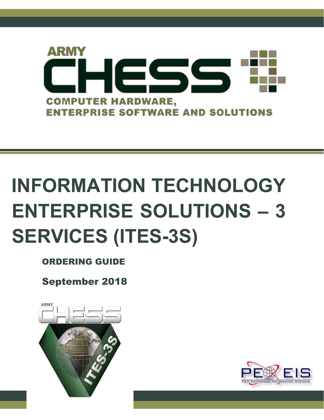

# **INFORMATION TECHNOLOGY ENTERPRISE SOLUTIONS – 3 SERVICES (ITES-3S)**

ORDERING GUIDE

September 2018





ITES-3S Ordering Guide 1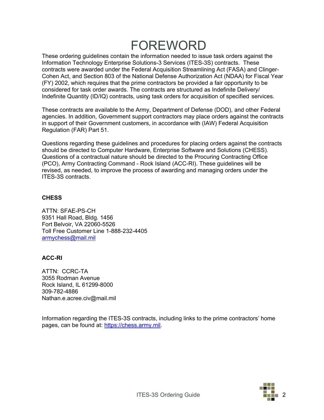# FOREWORD

These ordering guidelines contain the information needed to issue task orders against the Information Technology Enterprise Solutions-3 Services (ITES-3S) contracts. These contracts were awarded under the Federal Acquisition Streamlining Act (FASA) and Clinger-Cohen Act, and Section 803 of the National Defense Authorization Act (NDAA) for Fiscal Year (FY) 2002, which requires that the prime contractors be provided a fair opportunity to be considered for task order awards. The contracts are structured as Indefinite Delivery/ Indefinite Quantity (ID/IQ) contracts, using task orders for acquisition of specified services.

These contracts are available to the Army, Department of Defense (DOD), and other Federal agencies. In addition, Government support contractors may place orders against the contracts in support of their Government customers, in accordance with (IAW) Federal Acquisition Regulation (FAR) Part 51.

Questions regarding these guidelines and procedures for placing orders against the contracts should be directed to Computer Hardware, Enterprise Software and Solutions (CHESS). Questions of a contractual nature should be directed to the Procuring Contracting Office (PCO), Army Contracting Command - Rock Island (ACC-RI). These guidelines will be revised, as needed, to improve the process of awarding and managing orders under the ITES-3S contracts.

#### **CHESS**

ATTN: SFAE-PS-CH 9351 Hall Road, Bldg. 1456 Fort Belvoir, VA 22060-5526 Toll Free Customer Line 1-888-232-4405 [armychess@mail.mil](mailto:armychess@mail.mil)

#### **ACC-RI**

ATTN: CCRC-TA 3055 Rodman Avenue Rock Island, IL 61299-8000 309-782-4886 Nathan.e.acree.civ@mail.mil

Information regarding the ITES-3S contracts, including links to the prime contractors' home pages, can be found at: [https://chess.army.mil.](https://chess.army.mil/)

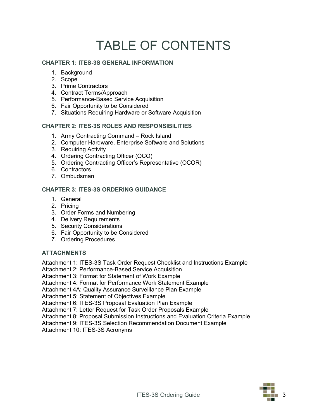# TABLE OF CONTENTS

#### **CHAPTER 1: ITES-3S GENERAL INFORMATION**

- 1. Background
- 2. Scope
- 3. Prime Contractors
- 4. Contract Terms/Approach
- 5. Performance-Based Service Acquisition
- 6. Fair Opportunity to be Considered
- 7. Situations Requiring Hardware or Software Acquisition

#### **CHAPTER 2: ITES-3S ROLES AND RESPONSIBILITIES**

- 1. Army Contracting Command Rock Island
- 2. Computer Hardware, Enterprise Software and Solutions
- 3. Requiring Activity
- 4. Ordering Contracting Officer (OCO)
- 5. Ordering Contracting Officer's Representative (OCOR)
- 6. Contractors
- 7. Ombudsman

#### **CHAPTER 3: ITES-3S ORDERING GUIDANCE**

- 1. General
- 2. Pricing
- 3. Order Forms and Numbering
- 4. Delivery Requirements
- 5. Security Considerations
- 6. Fair Opportunity to be Considered
- 7. Ordering Procedures

#### **ATTACHMENTS**

Attachment 1: ITES-3S Task Order Request Checklist and Instructions Example Attachment 2: Performance-Based Service Acquisition

Attachment 3: Format for Statement of Work Example

Attachment 4: Format for Performance Work Statement Example

Attachment 4A: Quality Assurance Surveillance Plan Example

Attachment 5: Statement of Objectives Example

Attachment 6: ITES-3S Proposal Evaluation Plan Example

Attachment 7: Letter Request for Task Order Proposals Example

Attachment 8: Proposal Submission Instructions and Evaluation Criteria Example

Attachment 9: ITES-3S Selection Recommendation Document Example

Attachment 10: ITES-3S Acronyms

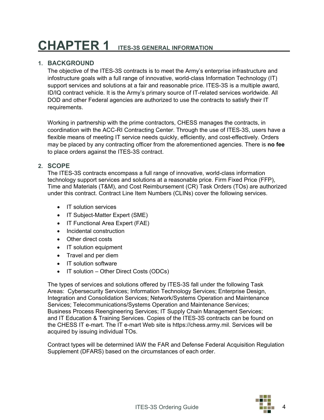# **CHAPTER 1 ITES-3S GENERAL INFORMATION**

### **1. BACKGROUND**

The objective of the ITES-3S contracts is to meet the Army's enterprise infrastructure and infostructure goals with a full range of innovative, world-class Information Technology (IT) support services and solutions at a fair and reasonable price. ITES-3S is a multiple award, ID/IQ contract vehicle. It is the Army's primary source of IT-related services worldwide. All DOD and other Federal agencies are authorized to use the contracts to satisfy their IT requirements.

Working in partnership with the prime contractors, CHESS manages the contracts, in coordination with the ACC-RI Contracting Center. Through the use of ITES-3S, users have a flexible means of meeting IT service needs quickly, efficiently, and cost-effectively. Orders may be placed by any contracting officer from the aforementioned agencies. There is **no fee** to place orders against the ITES-3S contract.

### **2. SCOPE**

The ITES-3S contracts encompass a full range of innovative, world-class information technology support services and solutions at a reasonable price. Firm Fixed Price (FFP), Time and Materials (T&M), and Cost Reimbursement (CR) Task Orders (TOs) are authorized under this contract. Contract Line Item Numbers (CLINs) cover the following services.

- IT solution services
- IT Subject-Matter Expert (SME)
- IT Functional Area Expert (FAE)
- Incidental construction
- Other direct costs
- IT solution equipment
- Travel and per diem
- IT solution software
- IT solution Other Direct Costs (ODCs)

The types of services and solutions offered by ITES-3S fall under the following Task Areas: Cybersecurity Services; Information Technology Services; Enterprise Design, Integration and Consolidation Services; Network/Systems Operation and Maintenance Services; Telecommunications/Systems Operation and Maintenance Services; Business Process Reengineering Services; IT Supply Chain Management Services; and IT Education & Training Services. Copies of the ITES-3S contracts can be found on the CHESS IT e-mart. The IT e-mart Web site [is https://chess.army.mil. S](https://chess.army.mil/)ervices will be acquired by issuing individual TOs.

Contract types will be determined IAW the FAR and Defense Federal Acquisition Regulation Supplement (DFARS) based on the circumstances of each order.

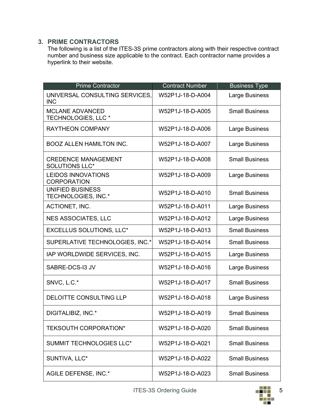# **3. PRIME CONTRACTORS**

The following is a list of the ITES-3S prime contractors along with their respective contract number and business size applicable to the contract. Each contractor name provides a hyperlink to their website.

| <b>Prime Contractor</b>                                  | <b>Contract Number</b> | <b>Business Type</b>  |
|----------------------------------------------------------|------------------------|-----------------------|
| UNIVERSAL CONSULTING SERVICES,<br><b>INC</b>             | W52P1J-18-D-A004       | Large Business        |
| <b>MCLANE ADVANCED</b><br>TECHNOLOGIES, LLC <sup>*</sup> | W52P1J-18-D-A005       | <b>Small Business</b> |
| <b>RAYTHEON COMPANY</b>                                  | W52P1J-18-D-A006       | Large Business        |
| <b>BOOZ ALLEN HAMILTON INC.</b>                          | W52P1J-18-D-A007       | Large Business        |
| <b>CREDENCE MANAGEMENT</b><br><b>SOLUTIONS LLC*</b>      | W52P1J-18-D-A008       | <b>Small Business</b> |
| <b>LEIDOS INNOVATIONS</b><br><b>CORPORATION</b>          | W52P1J-18-D-A009       | Large Business        |
| <b>UNIFIED BUSINESS</b><br>TECHNOLOGIES, INC.*           | W52P1J-18-D-A010       | <b>Small Business</b> |
| ACTIONET, INC.                                           | W52P1J-18-D-A011       | Large Business        |
| <b>NES ASSOCIATES, LLC</b>                               | W52P1J-18-D-A012       | Large Business        |
| <b>EXCELLUS SOLUTIONS, LLC*</b>                          | W52P1J-18-D-A013       | <b>Small Business</b> |
| SUPERLATIVE TECHNOLOGIES, INC.*                          | W52P1J-18-D-A014       | <b>Small Business</b> |
| IAP WORLDWIDE SERVICES, INC.                             | W52P1J-18-D-A015       | Large Business        |
| SABRE-DCS-I3 JV                                          | W52P1J-18-D-A016       | Large Business        |
| SNVC, L.C.*                                              | W52P1J-18-D-A017       | <b>Small Business</b> |
| <b>DELOITTE CONSULTING LLP</b>                           | W52P1J-18-D-A018       | Large Business        |
| DIGITALIBIZ, INC.*                                       | W52P1J-18-D-A019       | <b>Small Business</b> |
| <b>TEKSOUTH CORPORATION*</b>                             | W52P1J-18-D-A020       | <b>Small Business</b> |
| <b>SUMMIT TECHNOLOGIES LLC*</b>                          | W52P1J-18-D-A021       | <b>Small Business</b> |
| SUNTIVA, LLC*                                            | W52P1J-18-D-A022       | <b>Small Business</b> |
| AGILE DEFENSE, INC.*                                     | W52P1J-18-D-A023       | <b>Small Business</b> |

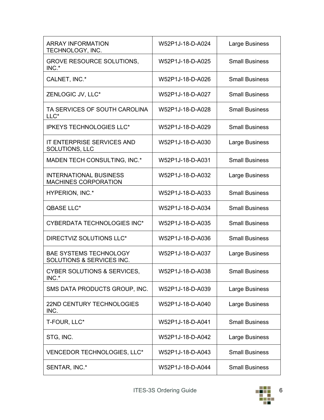| <b>ARRAY INFORMATION</b><br>TECHNOLOGY, INC.                 | W52P1J-18-D-A024 | Large Business        |
|--------------------------------------------------------------|------------------|-----------------------|
| <b>GROVE RESOURCE SOLUTIONS,</b><br>INC.*                    | W52P1J-18-D-A025 | <b>Small Business</b> |
| CALNET, INC.*                                                | W52P1J-18-D-A026 | <b>Small Business</b> |
| ZENLOGIC JV, LLC*                                            | W52P1J-18-D-A027 | <b>Small Business</b> |
| TA SERVICES OF SOUTH CAROLINA<br>LLC*                        | W52P1J-18-D-A028 | <b>Small Business</b> |
| <b>IPKEYS TECHNOLOGIES LLC*</b>                              | W52P1J-18-D-A029 | <b>Small Business</b> |
| <b>IT ENTERPRISE SERVICES AND</b><br>SOLUTIONS, LLC          | W52P1J-18-D-A030 | Large Business        |
| MADEN TECH CONSULTING, INC.*                                 | W52P1J-18-D-A031 | <b>Small Business</b> |
| <b>INTERNATIONAL BUSINESS</b><br><b>MACHINES CORPORATION</b> | W52P1J-18-D-A032 | Large Business        |
| HYPERION, INC.*                                              | W52P1J-18-D-A033 | <b>Small Business</b> |
| <b>QBASE LLC*</b>                                            | W52P1J-18-D-A034 | <b>Small Business</b> |
| <b>CYBERDATA TECHNOLOGIES INC*</b>                           | W52P1J-18-D-A035 | <b>Small Business</b> |
| DIRECTVIZ SOLUTIONS LLC*                                     | W52P1J-18-D-A036 | <b>Small Business</b> |
| <b>BAE SYSTEMS TECHNOLOGY</b><br>SOLUTIONS & SERVICES INC.   | W52P1J-18-D-A037 | Large Business        |
| <b>CYBER SOLUTIONS &amp; SERVICES,</b><br>INC.*              | W52P1J-18-D-A038 | <b>Small Business</b> |
| SMS DATA PRODUCTS GROUP, INC.                                | W52P1J-18-D-A039 | Large Business        |
| 22ND CENTURY TECHNOLOGIES<br>INC.                            | W52P1J-18-D-A040 | Large Business        |
| T-FOUR, LLC*                                                 | W52P1J-18-D-A041 | <b>Small Business</b> |
| STG, INC.                                                    | W52P1J-18-D-A042 | Large Business        |
| VENCEDOR TECHNOLOGIES, LLC*                                  | W52P1J-18-D-A043 | <b>Small Business</b> |
| SENTAR, INC.*                                                | W52P1J-18-D-A044 | <b>Small Business</b> |

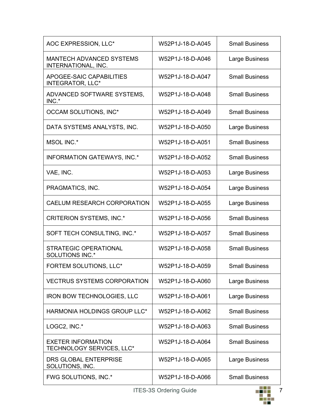| AOC EXPRESSION, LLC*                                   | W52P1J-18-D-A045 | <b>Small Business</b> |
|--------------------------------------------------------|------------------|-----------------------|
| <b>MANTECH ADVANCED SYSTEMS</b><br>INTERNATIONAL, INC. | W52P1J-18-D-A046 | Large Business        |
| APOGEE-SAIC CAPABILITIES<br><b>INTEGRATOR, LLC*</b>    | W52P1J-18-D-A047 | <b>Small Business</b> |
| ADVANCED SOFTWARE SYSTEMS,<br>INC.*                    | W52P1J-18-D-A048 | <b>Small Business</b> |
| OCCAM SOLUTIONS, INC*                                  | W52P1J-18-D-A049 | <b>Small Business</b> |
| DATA SYSTEMS ANALYSTS, INC.                            | W52P1J-18-D-A050 | Large Business        |
| MSOL INC.*                                             | W52P1J-18-D-A051 | <b>Small Business</b> |
| <b>INFORMATION GATEWAYS, INC.*</b>                     | W52P1J-18-D-A052 | <b>Small Business</b> |
| VAE, INC.                                              | W52P1J-18-D-A053 | <b>Large Business</b> |
| PRAGMATICS, INC.                                       | W52P1J-18-D-A054 | Large Business        |
| <b>CAELUM RESEARCH CORPORATION</b>                     | W52P1J-18-D-A055 | Large Business        |
| <b>CRITERION SYSTEMS, INC.*</b>                        | W52P1J-18-D-A056 | <b>Small Business</b> |
| SOFT TECH CONSULTING, INC.*                            | W52P1J-18-D-A057 | <b>Small Business</b> |
| <b>STRATEGIC OPERATIONAL</b><br><b>SOLUTIONS INC.*</b> | W52P1J-18-D-A058 | <b>Small Business</b> |
| FORTEM SOLUTIONS, LLC*                                 | W52P1J-18-D-A059 | <b>Small Business</b> |
| <b>VECTRUS SYSTEMS CORPORATION</b>                     | W52P1J-18-D-A060 | Large Business        |
| <b>IRON BOW TECHNOLOGIES, LLC</b>                      | W52P1J-18-D-A061 | Large Business        |
| HARMONIA HOLDINGS GROUP LLC*                           | W52P1J-18-D-A062 | <b>Small Business</b> |
| LOGC2, INC.*                                           | W52P1J-18-D-A063 | <b>Small Business</b> |
| <b>EXETER INFORMATION</b><br>TECHNOLOGY SERVICES, LLC* | W52P1J-18-D-A064 | <b>Small Business</b> |
| DRS GLOBAL ENTERPRISE<br>SOLUTIONS, INC.               | W52P1J-18-D-A065 | Large Business        |
| FWG SOLUTIONS, INC.*                                   | W52P1J-18-D-A066 | <b>Small Business</b> |

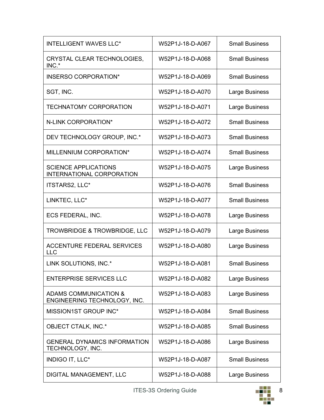| <b>INTELLIGENT WAVES LLC*</b>                                    | W52P1J-18-D-A067 | <b>Small Business</b> |
|------------------------------------------------------------------|------------------|-----------------------|
| CRYSTAL CLEAR TECHNOLOGIES,<br>INC.*                             | W52P1J-18-D-A068 | <b>Small Business</b> |
| <b>INSERSO CORPORATION*</b>                                      | W52P1J-18-D-A069 | <b>Small Business</b> |
| SGT, INC.                                                        | W52P1J-18-D-A070 | Large Business        |
| <b>TECHNATOMY CORPORATION</b>                                    | W52P1J-18-D-A071 | Large Business        |
| N-LINK CORPORATION*                                              | W52P1J-18-D-A072 | <b>Small Business</b> |
| DEV TECHNOLOGY GROUP, INC.*                                      | W52P1J-18-D-A073 | <b>Small Business</b> |
| MILLENNIUM CORPORATION*                                          | W52P1J-18-D-A074 | <b>Small Business</b> |
| <b>SCIENCE APPLICATIONS</b><br><b>INTERNATIONAL CORPORATION</b>  | W52P1J-18-D-A075 | <b>Large Business</b> |
| ITSTARS2, LLC*                                                   | W52P1J-18-D-A076 | <b>Small Business</b> |
| LINKTEC, LLC*                                                    | W52P1J-18-D-A077 | <b>Small Business</b> |
| ECS FEDERAL, INC.                                                | W52P1J-18-D-A078 | <b>Large Business</b> |
| <b>TROWBRIDGE &amp; TROWBRIDGE, LLC</b>                          | W52P1J-18-D-A079 | <b>Large Business</b> |
| ACCENTURE FEDERAL SERVICES<br><b>LLC</b>                         | W52P1J-18-D-A080 | Large Business        |
| LINK SOLUTIONS, INC.*                                            | W52P1J-18-D-A081 | <b>Small Business</b> |
| <b>ENTERPRISE SERVICES LLC</b>                                   | W52P1J-18-D-A082 | Large Business        |
| <b>ADAMS COMMUNICATION &amp;</b><br>ENGINEERING TECHNOLOGY, INC. | W52P1J-18-D-A083 | Large Business        |
| MISSION1ST GROUP INC*                                            | W52P1J-18-D-A084 | <b>Small Business</b> |
| <b>OBJECT CTALK, INC.*</b>                                       | W52P1J-18-D-A085 | <b>Small Business</b> |
| <b>GENERAL DYNAMICS INFORMATION</b><br>TECHNOLOGY, INC.          | W52P1J-18-D-A086 | Large Business        |
| INDIGO IT, LLC*                                                  | W52P1J-18-D-A087 | <b>Small Business</b> |
| DIGITAL MANAGEMENT, LLC                                          | W52P1J-18-D-A088 | Large Business        |

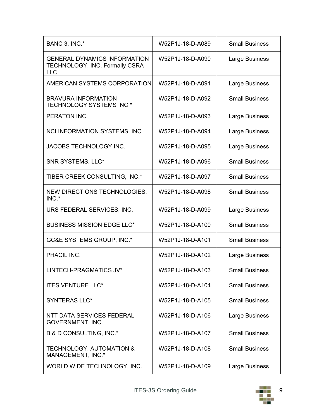| BANC 3, INC.*                                                                       | W52P1J-18-D-A089 | <b>Small Business</b> |
|-------------------------------------------------------------------------------------|------------------|-----------------------|
| <b>GENERAL DYNAMICS INFORMATION</b><br>TECHNOLOGY, INC. Formally CSRA<br><b>LLC</b> | W52P1J-18-D-A090 | Large Business        |
| AMERICAN SYSTEMS CORPORATION                                                        | W52P1J-18-D-A091 | Large Business        |
| <b>BRAVURA INFORMATION</b><br>TECHNOLOGY SYSTEMS INC.*                              | W52P1J-18-D-A092 | <b>Small Business</b> |
| PERATON INC.                                                                        | W52P1J-18-D-A093 | Large Business        |
| NCI INFORMATION SYSTEMS, INC.                                                       | W52P1J-18-D-A094 | Large Business        |
| JACOBS TECHNOLOGY INC.                                                              | W52P1J-18-D-A095 | Large Business        |
| SNR SYSTEMS, LLC*                                                                   | W52P1J-18-D-A096 | <b>Small Business</b> |
| TIBER CREEK CONSULTING, INC.*                                                       | W52P1J-18-D-A097 | <b>Small Business</b> |
| NEW DIRECTIONS TECHNOLOGIES,<br>INC.*                                               | W52P1J-18-D-A098 | <b>Small Business</b> |
| URS FEDERAL SERVICES, INC.                                                          | W52P1J-18-D-A099 | Large Business        |
| <b>BUSINESS MISSION EDGE LLC*</b>                                                   | W52P1J-18-D-A100 | <b>Small Business</b> |
| <b>GC&amp;E SYSTEMS GROUP, INC.*</b>                                                | W52P1J-18-D-A101 | <b>Small Business</b> |
| PHACIL INC.                                                                         | W52P1J-18-D-A102 | Large Business        |
| LINTECH-PRAGMATICS JV*                                                              | W52P1J-18-D-A103 | <b>Small Business</b> |
| <b>ITES VENTURE LLC*</b>                                                            | W52P1J-18-D-A104 | <b>Small Business</b> |
| <b>SYNTERAS LLC*</b>                                                                | W52P1J-18-D-A105 | <b>Small Business</b> |
| NTT DATA SERVICES FEDERAL<br>GOVERNMENT, INC.                                       | W52P1J-18-D-A106 | Large Business        |
| B & D CONSULTING, INC.*                                                             | W52P1J-18-D-A107 | <b>Small Business</b> |
| <b>TECHNOLOGY, AUTOMATION &amp;</b><br>MANAGEMENT, INC.*                            | W52P1J-18-D-A108 | <b>Small Business</b> |
| WORLD WIDE TECHNOLOGY, INC.                                                         | W52P1J-18-D-A109 | Large Business        |

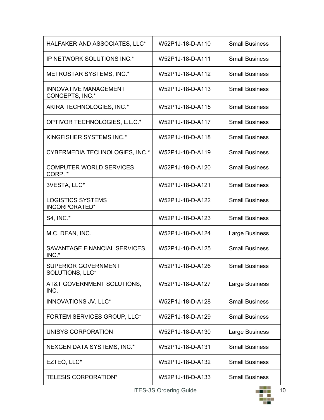| HALFAKER AND ASSOCIATES, LLC*                   | W52P1J-18-D-A110 | <b>Small Business</b> |
|-------------------------------------------------|------------------|-----------------------|
| IP NETWORK SOLUTIONS INC.*                      | W52P1J-18-D-A111 | <b>Small Business</b> |
| METROSTAR SYSTEMS, INC.*                        | W52P1J-18-D-A112 | <b>Small Business</b> |
| <b>INNOVATIVE MANAGEMENT</b><br>CONCEPTS, INC.* | W52P1J-18-D-A113 | <b>Small Business</b> |
| AKIRA TECHNOLOGIES, INC.*                       | W52P1J-18-D-A115 | <b>Small Business</b> |
| OPTIVOR TECHNOLOGIES, L.L.C.*                   | W52P1J-18-D-A117 | <b>Small Business</b> |
| KINGFISHER SYSTEMS INC.*                        | W52P1J-18-D-A118 | <b>Small Business</b> |
| CYBERMEDIA TECHNOLOGIES, INC.*                  | W52P1J-18-D-A119 | <b>Small Business</b> |
| <b>COMPUTER WORLD SERVICES</b><br>CORP. *       | W52P1J-18-D-A120 | <b>Small Business</b> |
| 3VESTA, LLC*                                    | W52P1J-18-D-A121 | <b>Small Business</b> |
| <b>LOGISTICS SYSTEMS</b><br>INCORPORATED*       | W52P1J-18-D-A122 | <b>Small Business</b> |
| S4, INC.*                                       | W52P1J-18-D-A123 | <b>Small Business</b> |
| M.C. DEAN, INC.                                 | W52P1J-18-D-A124 | <b>Large Business</b> |
| SAVANTAGE FINANCIAL SERVICES,<br>INC.*          | W52P1J-18-D-A125 | <b>Small Business</b> |
| <b>SUPERIOR GOVERNMENT</b><br>SOLUTIONS, LLC*   | W52P1J-18-D-A126 | <b>Small Business</b> |
| AT&T GOVERNMENT SOLUTIONS,<br>INC.              | W52P1J-18-D-A127 | Large Business        |
| <b>INNOVATIONS JV, LLC*</b>                     | W52P1J-18-D-A128 | <b>Small Business</b> |
| FORTEM SERVICES GROUP, LLC*                     | W52P1J-18-D-A129 | <b>Small Business</b> |
| UNISYS CORPORATION                              | W52P1J-18-D-A130 | Large Business        |
| NEXGEN DATA SYSTEMS, INC.*                      | W52P1J-18-D-A131 | <b>Small Business</b> |
| EZTEQ, LLC*                                     | W52P1J-18-D-A132 | <b>Small Business</b> |
| <b>TELESIS CORPORATION*</b>                     | W52P1J-18-D-A133 | <b>Small Business</b> |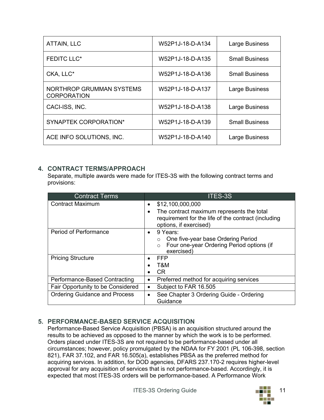| <b>ATTAIN, LLC</b>                             | W52P1J-18-D-A134 | Large Business        |
|------------------------------------------------|------------------|-----------------------|
| <b>FEDITC LLC*</b>                             | W52P1J-18-D-A135 | <b>Small Business</b> |
| CKA, LLC*                                      | W52P1J-18-D-A136 | <b>Small Business</b> |
| NORTHROP GRUMMAN SYSTEMS<br><b>CORPORATION</b> | W52P1J-18-D-A137 | Large Business        |
| CACI-ISS, INC.                                 | W52P1J-18-D-A138 | Large Business        |
| <b>SYNAPTEK CORPORATION*</b>                   | W52P1J-18-D-A139 | <b>Small Business</b> |
| ACE INFO SOLUTIONS, INC.                       | W52P1J-18-D-A140 | <b>Large Business</b> |

### **4. CONTRACT TERMS/APPROACH**

Separate, multiple awards were made for ITES-3S with the following contract terms and provisions:

| <b>Contract Terms</b>                | <b>ITES-3S</b>                                         |
|--------------------------------------|--------------------------------------------------------|
| <b>Contract Maximum</b>              | \$12,100,000,000<br>$\bullet$                          |
|                                      | The contract maximum represents the total<br>$\bullet$ |
|                                      | requirement for the life of the contract (including    |
|                                      | options, if exercised)                                 |
| <b>Period of Performance</b>         | 9 Years:<br>$\bullet$                                  |
|                                      | One five-year base Ordering Period<br>$\circ$          |
|                                      | Four one-year Ordering Period options (if<br>$\circ$   |
|                                      | exercised)                                             |
| <b>Pricing Structure</b>             | <b>FFP</b><br>$\bullet$                                |
|                                      | T&M                                                    |
|                                      | <b>CR</b>                                              |
| Performance-Based Contracting        | Preferred method for acquiring services<br>$\bullet$   |
| Fair Opportunity to be Considered    | Subject to FAR 16.505<br>٠                             |
| <b>Ordering Guidance and Process</b> | See Chapter 3 Ordering Guide - Ordering<br>$\bullet$   |
|                                      | Guidance                                               |

# **5. PERFORMANCE-BASED SERVICE ACQUISITION**

Performance-Based Service Acquisition (PBSA) is an acquisition structured around the results to be achieved as opposed to the manner by which the work is to be performed. Orders placed under ITES-3S are not required to be performance-based under all circumstances; however, policy promulgated by the NDAA for FY 2001 (PL 106-398, section 821), FAR 37.102, and FAR 16.505(a), establishes PBSA as the preferred method for acquiring services. In addition, for DOD agencies, DFARS 237.170-2 requires higher-level approval for any acquisition of services that is not performance-based. Accordingly, it is expected that most ITES-3S orders will be performance-based. A Performance Work

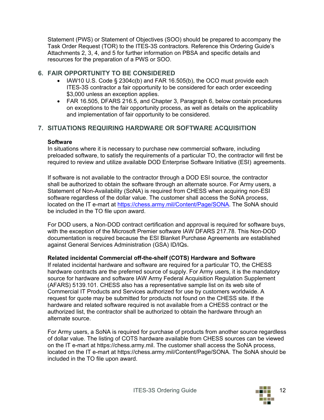Statement (PWS) or Statement of Objectives (SOO) should be prepared to accompany the Task Order Request (TOR) to the ITES-3S contractors. Reference this Ordering Guide's Attachments 2, 3, 4, and 5 for further information on PBSA and specific details and resources for the preparation of a PWS or SOO.

### **6. FAIR OPPORTUNITY TO BE CONSIDERED**

- IAW10 U.S. Code § 2304c(b) and FAR 16.505(b), the OCO must provide each ITES-3S contractor a fair opportunity to be considered for each order exceeding \$3,000 unless an exception applies.
- FAR 16.505, DFARS 216.5, and Chapter 3, Paragraph 6, below contain procedures on exceptions to the fair opportunity process, as well as details on the applicability and implementation of fair opportunity to be considered.

# **7. SITUATIONS REQUIRING HARDWARE OR SOFTWARE ACQUISITION**

#### **Software**

In situations where it is necessary to purchase new commercial software, including preloaded software, to satisfy the requirements of a particular TO, the contractor will first be required to review and utilize available DOD Enterprise Software Initiative (ESI) agreements.

If software is not available to the contractor through a DOD ESI source, the contractor shall be authorized to obtain the software through an alternate source. For Army users, a Statement of Non-Availability (SoNA) is required from CHESS when acquiring non-ESI software regardless of the dollar value. The customer shall access the SoNA process, located on the IT e-mart at [https://chess.army.mil/Content/Page/SONA.](https://chess.army.mil/Content/Page/SONA) The SoNA should be included in the TO file upon award.

For DOD users, a Non-DOD contract certification and approval is required for software buys, with the exception of the Microsoft Premier software IAW DFARS 217.78. This Non-DOD documentation is required because the ESI Blanket Purchase Agreements are established against General Services Administration (GSA) ID/IQs**.**

### **Related incidental Commercial off-the-shelf (COTS) Hardware and Software**

If related incidental hardware and software are required for a particular TO, the CHESS hardware contracts are the preferred source of supply. For Army users, it is the mandatory source for hardware and software IAW Army Federal Acquisition Regulation Supplement (AFARS) 5139.101. CHESS also has a representative sample list on its web site of Commercial IT Products and Services authorized for use by customers worldwide. A request for quote may be submitted for products not found on the CHESS site. If the hardware and related software required is not available from a CHESS contract or the authorized list, the contractor shall be authorized to obtain the hardware through an alternate source.

For Army users, a SoNA is required for purchase of products from another source regardless of dollar value. The listing of COTS hardware available from CHESS sources can be viewed on the IT e-mart at [https://chess.army.mil.](https://chess.army.mil/) The customer shall access the SoNA process, located on the IT e-mart at [https://chess.army.mil/Content/Page/SONA.](https://chess.army.mil/Content/Page/SONA) The SoNA should be included in the TO file upon award.

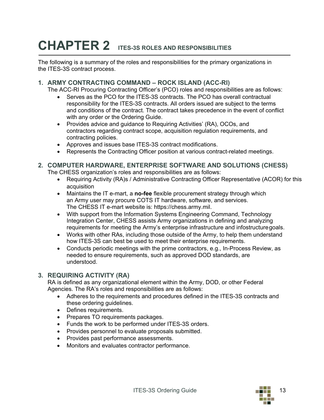# **CHAPTER 2 ITES-3S ROLES AND RESPONSIBILITIES**

The following is a summary of the roles and responsibilities for the primary organizations in the ITES-3S contract process.

### **1. ARMY CONTRACTING COMMAND – ROCK ISLAND (ACC-RI)**

The ACC-RI Procuring Contracting Officer's (PCO) roles and responsibilities are as follows:

- Serves as the PCO for the ITES-3S contracts. The PCO has overall contractual responsibility for the ITES-3S contracts. All orders issued are subject to the terms and conditions of the contract. The contract takes precedence in the event of conflict with any order or the Ordering Guide.
- Provides advice and guidance to Requiring Activities' (RA), OCOs, and contractors regarding contract scope, acquisition regulation requirements, and contracting policies.
- Approves and issues base ITES-3S contract modifications.
- Represents the Contracting Officer position at various contract-related meetings.

#### **2. COMPUTER HARDWARE, ENTERPRISE SOFTWARE AND SOLUTIONS (CHESS)**

The CHESS organization's roles and responsibilities are as follows:

- Requiring Activity (RA)s / Administrative Contracting Officer Representative (ACOR) for this acquisition
- Maintains the IT e-mart, a **no-fee** flexible procurement strategy through which an Army user may procure COTS IT hardware, software, and services. The CHESS IT e-mart website is: [https://chess.army.mil.](https://chess.army.mil/)
- With support from the Information Systems Engineering Command, Technology Integration Center, CHESS assists Army organizations in defining and analyzing requirements for meeting the Army's enterprise infrastructure and infostructuregoals.
- Works with other RAs, including those outside of the Army, to help them understand how ITES-3S can best be used to meet their enterprise requirements.
- Conducts periodic meetings with the prime contractors, e.g., In-Process Review, as needed to ensure requirements, such as approved DOD standards, are understood.

#### **3. REQUIRING ACTIVITY (RA)**

RA is defined as any organizational element within the Army, DOD, or other Federal Agencies. The RA's roles and responsibilities are as follows:

- Adheres to the requirements and procedures defined in the ITES-3S contracts and these ordering guidelines.
- Defines requirements.
- Prepares TO requirements packages.
- Funds the work to be performed under ITES-3S orders.
- Provides personnel to evaluate proposals submitted.
- Provides past performance assessments.
- Monitors and evaluates contractor performance.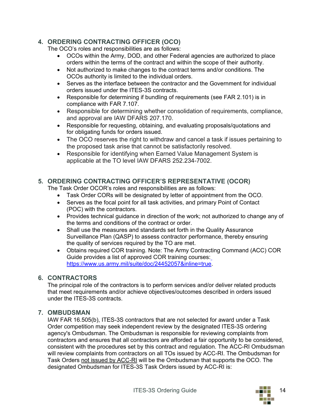### **4. ORDERING CONTRACTING OFFICER (OCO)**

The OCO's roles and responsibilities are as follows:

- OCOs within the Army, DOD, and other Federal agencies are authorized to place orders within the terms of the contract and within the scope of their authority.
- Not authorized to make changes to the contract terms and/or conditions. The OCOs authority is limited to the individual orders.
- Serves as the interface between the contractor and the Government for individual orders issued under the ITES-3S contracts.
- Responsible for determining if bundling of requirements (see FAR 2.101) is in compliance with FAR 7.107.
- Responsible for determining whether consolidation of requirements, compliance, and approval are IAW DFARS 207.170.
- Responsible for requesting, obtaining, and evaluating proposals/quotations and for obligating funds for orders issued.
- The OCO reserves the right to withdraw and cancel a task if issues pertaining to the proposed task arise that cannot be satisfactorily resolved.
- Responsible for identifying when Earned Value Management System is applicable at the TO level IAW DFARS 252.234-7002.

# **5. ORDERING CONTRACTING OFFICER'S REPRESENTATIVE (OCOR)**

The Task Order OCOR's roles and responsibilities are as follows:

- Task Order CORs will be designated by letter of appointment from the OCO.
- Serves as the focal point for all task activities, and primary Point of Contact (POC) with the contractors.
- Provides technical guidance in direction of the work; not authorized to change any of the terms and conditions of the contract or order.
- Shall use the measures and standards set forth in the Quality Assurance Surveillance Plan (QASP) to assess contractor performance, thereby ensuring the quality of services required by the TO are met.
- Obtains required COR training. Note: The Army Contracting Command (ACC) COR Guide provides a list of approved COR training courses: [https://www.us.army.mil/suite/doc/24452057&inline=true.](https://www.us.army.mil/suite/doc/24452057%26inline%3Dtrue)

### **6. CONTRACTORS**

The principal role of the contractors is to perform services and/or deliver related products that meet requirements and/or achieve objectives/outcomes described in orders issued under the ITES-3S contracts.

# **7. OMBUDSMAN**

IAW FAR 16.505(b), ITES-3S contractors that are not selected for award under a Task Order competition may seek independent review by the designated ITES-3S ordering agency's Ombudsman. The Ombudsman is responsible for reviewing complaints from contractors and ensures that all contractors are afforded a fair opportunity to be considered, consistent with the procedures set by this contract and regulation. The ACC-RI Ombudsman will review complaints from contractors on all TOs issued by ACC-RI. The Ombudsman for Task Orders not issued by ACC-RI will be the Ombudsman that supports the OCO. The designated Ombudsman for ITES-3S Task Orders issued by ACC-RI is:

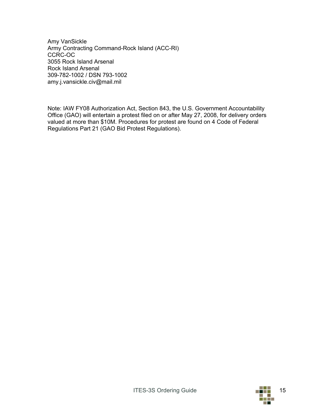Amy VanSickle Army Contracting Command-Rock Island (ACC-RI) CCRC-OC 3055 Rock Island Arsenal Rock Island Arsenal 309-782-1002 / DSN 793-1002 [amy.j.vansickle.civ@mail.mil](mailto:amy.j.vansickle.civ@mail.mil)

Note: IAW FY08 Authorization Act, Section 843, the U.S. Government Accountability Office (GAO) will entertain a protest filed on or after May 27, 2008, for delivery orders valued at more than \$10M. Procedures for protest are found on 4 Code of Federal Regulations Part 21 (GAO Bid Protest Regulations).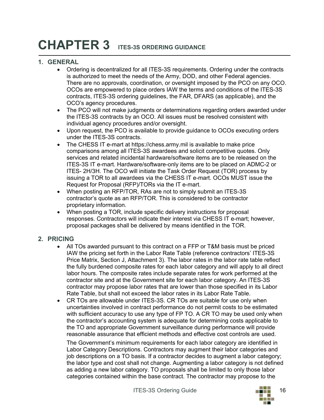# **CHAPTER 3 ITES-3S ORDERING GUIDANCE**

### **1. GENERAL**

- Ordering is decentralized for all ITES-3S requirements. Ordering under the contracts is authorized to meet the needs of the Army, DOD, and other Federal agencies. There are no approvals, coordination, or oversight imposed by the PCO on any OCO. OCOs are empowered to place orders IAW the terms and conditions of the ITES-3S contracts, ITES-3S ordering guidelines, the FAR, DFARS (as applicable), and the OCO's agency procedures.
- The PCO will not make judgments or determinations regarding orders awarded under the ITES-3S contracts by an OCO. All issues must be resolved consistent with individual agency procedures and/or oversight.
- Upon request, the PCO is available to provide guidance to OCOs executing orders under the ITES-3S contracts.
- The CHESS IT e-mart at [https://chess.army.mil is](https://chess.army.mil/) available to make price comparisons among all ITES-3S awardees and solicit competitive quotes. Only services and related incidental hardware/software items are to be released on the ITES-3S IT e-mart. Hardware/software-only items are to be placed on ADMC-2 or ITES- 2H/3H. The OCO will initiate the Task Order Request (TOR) process by issuing a TOR to all awardees via the CHESS IT e-mart. OCOs MUST issue the Request for Proposal (RFP)/TORs via the IT e-mart.
- When posting an RFP/TOR, RAs are not to simply submit an ITES-3S contractor's quote as an RFP/TOR. This is considered to be contractor proprietary information.
- When posting a TOR, include specific delivery instructions for proposal responses. Contractors will indicate their interest via CHESS IT e-mart; however, proposal packages shall be delivered by means identified in the TOR.

#### **2. PRICING**

- All TOs awarded pursuant to this contract on a FFP or T&M basis must be priced IAW the pricing set forth in the Labor Rate Table (reference contractors' ITES-3S Price Matrix, Section J, Attachment 3). The labor rates in the labor rate table reflect the fully burdened composite rates for each labor category and will apply to all direct labor hours. The composite rates include separate rates for work performed at the contractor site and at the Government site for each labor category. An ITES-3S contractor may propose labor rates that are lower than those specified in its Labor Rate Table, but shall not exceed the labor rates in its Labor Rate Table.
- CR TOs are allowable under ITES-3S. CR TOs are suitable for use only when uncertainties involved in contract performance do not permit costs to be estimated with sufficient accuracy to use any type of FP TO. A CR TO may be used only when the contractor's accounting system is adequate for determining costs applicable to the TO and appropriate Government surveillance during performance will provide reasonable assurance that efficient methods and effective cost controls are used.

The Government's minimum requirements for each labor category are identified in Labor Category Descriptions. Contractors may augment their labor categories and job descriptions on a TO basis. If a contractor decides to augment a labor category; the labor type and cost shall not change. Augmenting a labor category is not defined as adding a new labor category. TO proposals shall be limited to only those labor categories contained within the base contract. The contractor may propose to the

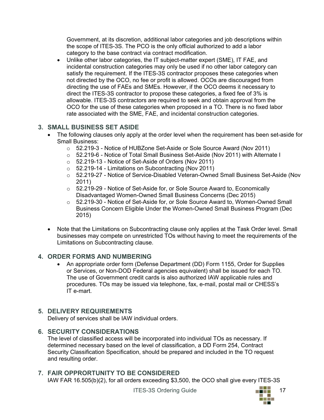Government, at its discretion, additional labor categories and job descriptions within the scope of ITES-3S. The PCO is the only official authorized to add a labor category to the base contract via contract modification.

• Unlike other labor categories, the IT subject-matter expert (SME), IT FAE, and incidental construction categories may only be used if no other labor category can satisfy the requirement. If the ITES-3S contractor proposes these categories when not directed by the OCO, no fee or profit is allowed. OCOs are discouraged from directing the use of FAEs and SMEs. However, if the OCO deems it necessary to direct the ITES-3S contractor to propose these categories, a fixed fee of 3% is allowable. ITES-3S contractors are required to seek and obtain approval from the OCO for the use of these categories when proposed in a TO. There is no fixed labor rate associated with the SME, FAE, and incidental construction categories.

### **3. SMALL BUSINESS SET ASIDE**

- The following clauses only apply at the order level when the requirement has been set-aside for Small Business:
	- o 52.219-3 Notice of HUBZone Set-Aside or Sole Source Award (Nov 2011)
	- o 52.219-6 Notice of Total Small Business Set-Aside (Nov 2011) with Alternate I
	- o 52.219-13 Notice of Set-Aside of Orders (Nov 2011)
	- $\circ$  52.219-14 Limitations on Subcontracting (Nov 2011)
	- o 52.219-27 Notice of Service-Disabled Veteran-Owned Small Business Set-Aside (Nov 2011)
	- $\circ$  52.219-29 Notice of Set-Aside for, or Sole Source Award to, Economically Disadvantaged Women-Owned Small Business Concerns (Dec 2015)
	- o 52.219-30 Notice of Set-Aside for, or Sole Source Award to, Women-Owned Small Business Concern Eligible Under the Women-Owned Small Business Program (Dec 2015)
- Note that the Limitations on Subcontracting clause only applies at the Task Order level. Small businesses may compete on unrestricted TOs without having to meet the requirements of the Limitations on Subcontracting clause.

### **4. ORDER FORMS AND NUMBERING**

• An appropriate order form (Defense Department (DD) Form 1155, Order for Supplies or Services, or Non-DOD Federal agencies equivalent) shall be issued for each TO. The use of Government credit cards is also authorized IAW applicable rules and procedures. TOs may be issued via telephone, fax, e-mail, postal mail or CHESS's IT e-mart.

# **5. DELIVERY REQUIREMENTS**

Delivery of services shall be IAW individual orders.

### **6. SECURITY CONSIDERATIONS**

The level of classified access will be incorporated into individual TOs as necessary. If determined necessary based on the level of classification, a DD Form 254, Contract Security Classification Specification, should be prepared and included in the TO request and resulting order.

# **7. FAIR OPPRORTUNITY TO BE CONSIDERED**

IAW FAR 16.505(b)(2), for all orders exceeding \$3,500, the OCO shall give every ITES-3S

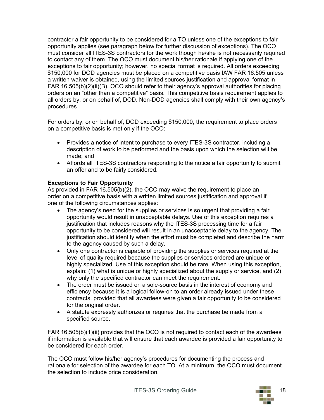contractor a fair opportunity to be considered for a TO unless one of the exceptions to fair opportunity applies (see paragraph below for further discussion of exceptions). The OCO must consider all ITES-3S contractors for the work though he/she is not necessarily required to contact any of them. The OCO must document his/her rationale if applying one of the exceptions to fair opportunity; however, no special format is required. All orders exceeding \$150,000 for DOD agencies must be placed on a competitive basis IAW FAR 16.505 unless a written waiver is obtained, using the limited sources justification and approval format in FAR 16.505(b)(2)(ii)(B). OCO should refer to their agency's approval authorities for placing orders on an "other than a competitive" basis. This competitive basis requirement applies to all orders by, or on behalf of, DOD. Non-DOD agencies shall comply with their own agency's procedures.

For orders by, or on behalf of, DOD exceeding \$150,000, the requirement to place orders on a competitive basis is met only if the OCO:

- Provides a notice of intent to purchase to every ITES-3S contractor, including a description of work to be performed and the basis upon which the selection will be made; and
- Affords all ITES-3S contractors responding to the notice a fair opportunity to submit an offer and to be fairly considered.

#### **Exceptions to Fair Opportunity**

As provided in FAR 16.505(b)(2), the OCO may waive the requirement to place an order on a competitive basis with a written limited sources justification and approval if one of the following circumstances applies:

- The agency's need for the supplies or services is so urgent that providing a fair opportunity would result in unacceptable delays. Use of this exception requires a justification that includes reasons why the ITES-3S processing time for a fair opportunity to be considered will result in an unacceptable delay to the agency. The justification should identify when the effort must be completed and describe the harm to the agency caused by such a delay.
- Only one contractor is capable of providing the supplies or services required at the level of quality required because the supplies or services ordered are unique or highly specialized. Use of this exception should be rare. When using this exception, explain: (1) what is unique or highly specialized about the supply or service, and (2) why only the specified contractor can meet the requirement.
- The order must be issued on a sole-source basis in the interest of economy and efficiency because it is a logical follow-on to an order already issued under these contracts, provided that all awardees were given a fair opportunity to be considered for the original order.
- A statute expressly authorizes or requires that the purchase be made from a specified source.

FAR 16.505(b)(1)(ii) provides that the OCO is not required to contact each of the awardees if information is available that will ensure that each awardee is provided a fair opportunity to be considered for each order.

The OCO must follow his/her agency's procedures for documenting the process and rationale for selection of the awardee for each TO. At a minimum, the OCO must document the selection to include price consideration.

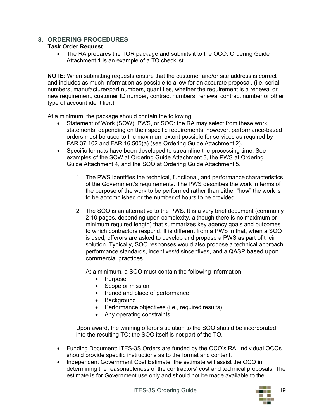### **8. ORDERING PROCEDURES**

#### **Task Order Request**

• The RA prepares the TOR package and submits it to the OCO. Ordering Guide Attachment 1 is an example of a TO checklist.

**NOTE**: When submitting requests ensure that the customer and/or site address is correct and includes as much information as possible to allow for an accurate proposal. (i.e. serial numbers, manufacturer/part numbers, quantities, whether the requirement is a renewal or new requirement, customer ID number, contract numbers, renewal contract number or other type of account identifier.)

At a minimum, the package should contain the following:

- Statement of Work (SOW), PWS, or SOO: the RA may select from these work statements, depending on their specific requirements; however, performance-based orders must be used to the maximum extent possible for services as required by FAR 37.102 and FAR 16.505(a) (see Ordering Guide Attachment 2).
- Specific formats have been developed to streamline the processing time. See examples of the SOW at Ordering Guide Attachment 3, the PWS at Ordering Guide Attachment 4, and the SOO at Ordering Guide Attachment 5.
	- 1. The PWS identifies the technical, functional, and performance characteristics of the Government's requirements. The PWS describes the work in terms of the purpose of the work to be performed rather than either "how" the work is to be accomplished or the number of hours to be provided.
	- 2. The SOO is an alternative to the PWS. It is a very brief document (commonly 2-10 pages, depending upon complexity, although there is no maximum or minimum required length) that summarizes key agency goals and outcomes to which contractors respond. It is different from a PWS in that, when a SOO is used, offerors are asked to develop and propose a PWS as part of their solution. Typically, SOO responses would also propose a technical approach, performance standards, incentives/disincentives, and a QASP based upon commercial practices.

At a minimum, a SOO must contain the following information:

- Purpose
- Scope or mission
- Period and place of performance
- Background
- Performance objectives (i.e., required results)
- Any operating constraints

Upon award, the winning offeror's solution to the SOO should be incorporated into the resulting TO; the SOO itself is not part of the TO.

- Funding Document: ITES-3S Orders are funded by the OCO's RA. Individual OCOs should provide specific instructions as to the format and content.
- Independent Government Cost Estimate: the estimate will assist the OCO in determining the reasonableness of the contractors' cost and technical proposals. The estimate is for Government use only and should not be made available to the

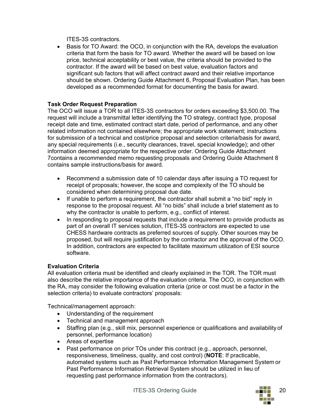ITES-3S contractors.

• Basis for TO Award: the OCO, in conjunction with the RA, develops the evaluation criteria that form the basis for TO award. Whether the award will be based on low price, technical acceptability or best value, the criteria should be provided to the contractor. If the award will be based on best value, evaluation factors and significant sub factors that will affect contract award and their relative importance should be shown. Ordering Guide Attachment 6, Proposal Evaluation Plan, has been developed as a recommended format for documenting the basis for award.

#### **Task Order Request Preparation**

The OCO will issue a TOR to all ITES-3S contractors for orders exceeding \$3,500.00. The request will include a transmittal letter identifying the TO strategy, contract type, proposal receipt date and time, estimated contract start date, period of performance, and any other related information not contained elsewhere; the appropriate work statement; instructions for submission of a technical and cost/price proposal and selection criteria/basis for award, any special requirements (i.e., security clearances, travel, special knowledge); and other information deemed appropriate for the respective order. Ordering Guide Attachment 7contains a recommended memo requesting proposals and Ordering Guide Attachment 8 contains sample instructions/basis for award.

- Recommend a submission date of 10 calendar days after issuing a TO request for receipt of proposals; however, the scope and complexity of the TO should be considered when determining proposal due date.
- If unable to perform a requirement, the contractor shall submit a "no bid" reply in response to the proposal request. All "no bids" shall include a brief statement as to why the contractor is unable to perform, e.g., conflict of interest.
- In responding to proposal requests that include a requirement to provide products as part of an overall IT services solution, ITES-3S contractors are expected to use CHESS hardware contracts as preferred sources of supply. Other sources may be proposed, but will require justification by the contractor and the approval of the OCO. In addition, contractors are expected to facilitate maximum utilization of ESI source software.

#### **Evaluation Criteria**

All evaluation criteria must be identified and clearly explained in the TOR. The TOR must also describe the relative importance of the evaluation criteria. The OCO, in conjunction with the RA, may consider the following evaluation criteria (price or cost must be a factor in the selection criteria) to evaluate contractors' proposals:

Technical/management approach:

- Understanding of the requirement
- Technical and management approach
- Staffing plan (e.g., skill mix, personnel experience or qualifications and availability of personnel, performance location)
- Areas of expertise
- Past performance on prior TOs under this contract (e.g., approach, personnel, responsiveness, timeliness, quality, and cost control) (**NOTE**: If practicable, automated systems such as Past Performance Information Management System or Past Performance Information Retrieval System should be utilized in lieu of requesting past performance information from the contractors).

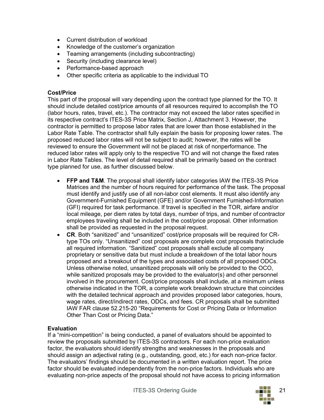- Current distribution of workload
- Knowledge of the customer's organization
- Teaming arrangements (including subcontracting)
- Security (including clearance level)
- Performance-based approach
- Other specific criteria as applicable to the individual TO

#### **Cost/Price**

This part of the proposal will vary depending upon the contract type planned for the TO. It should include detailed cost/price amounts of all resources required to accomplish the TO (labor hours, rates, travel, etc.). The contractor may not exceed the labor rates specified in its respective contract's ITES-3S Price Matrix, Section J, Attachment 3. However, the contractor is permitted to propose labor rates that are lower than those established in the Labor Rate Table. The contractor shall fully explain the basis for proposing lower rates. The proposed reduced labor rates will not be subject to audit; however, the rates will be reviewed to ensure the Government will not be placed at risk of nonperformance. The reduced labor rates will apply only to the respective TO and will not change the fixed rates in Labor Rate Tables. The level of detail required shall be primarily based on the contract type planned for use, as further discussed below.

- **FFP and T&M**. The proposal shall identify labor categories IAW the ITES-3S Price Matrices and the number of hours required for performance of the task. The proposal must identify and justify use of all non-labor cost elements. It must also identify any Government-Furnished Equipment (GFE) and/or Government Furnished-Information (GFI) required for task performance. If travel is specified in the TOR, airfare and/or local mileage, per diem rates by total days, number of trips, and number of contractor employees traveling shall be included in the cost/price proposal. Other information shall be provided as requested in the proposal request.
- **CR**. Both "sanitized" and "unsanitized" cost/price proposals will be required for CRtype TOs only. "Unsanitized" cost proposals are complete cost proposals thatinclude all required information. "Sanitized" cost proposals shall exclude all company proprietary or sensitive data but must include a breakdown of the total labor hours proposed and a breakout of the types and associated costs of all proposed ODCs. Unless otherwise noted, unsanitized proposals will only be provided to the OCO, while sanitized proposals may be provided to the evaluator(s) and other personnel involved in the procurement. Cost/price proposals shall include, at a minimum unless otherwise indicated in the TOR, a complete work breakdown structure that coincides with the detailed technical approach and provides proposed labor categories, hours, wage rates, direct/indirect rates, ODCs, and fees. CR proposals shall be submitted IAW FAR clause 52.215-20 "Requirements for Cost or Pricing Data or Information Other Than Cost or Pricing Data."

#### **Evaluation**

If a "mini-competition" is being conducted, a panel of evaluators should be appointed to review the proposals submitted by ITES-3S contractors. For each non-price evaluation factor, the evaluators should identify strengths and weaknesses in the proposals and should assign an adjectival rating (e.g., outstanding, good, etc.) for each non-price factor. The evaluators' findings should be documented in a written evaluation report. The price factor should be evaluated independently from the non-price factors. Individuals who are evaluating non-price aspects of the proposal should not have access to pricing information

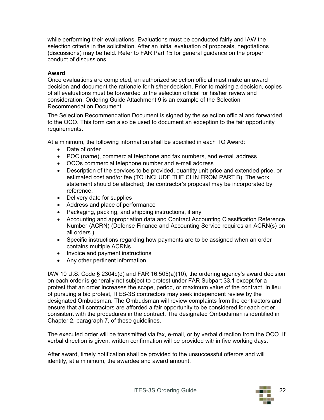while performing their evaluations. Evaluations must be conducted fairly and IAW the selection criteria in the solicitation. After an initial evaluation of proposals, negotiations (discussions) may be held. Refer to FAR Part 15 for general guidance on the proper conduct of discussions.

#### **Award**

Once evaluations are completed, an authorized selection official must make an award decision and document the rationale for his/her decision. Prior to making a decision, copies of all evaluations must be forwarded to the selection official for his/her review and consideration. Ordering Guide Attachment 9 is an example of the Selection Recommendation Document.

The Selection Recommendation Document is signed by the selection official and forwarded to the OCO. This form can also be used to document an exception to the fair opportunity requirements.

At a minimum, the following information shall be specified in each TO Award:

- Date of order
- POC (name), commercial telephone and fax numbers, and e-mail address
- OCOs commercial telephone number and e-mail address
- Description of the services to be provided, quantity unit price and extended price, or estimated cost and/or fee (TO INCLUDE THE CLIN FROM PART B). The work statement should be attached; the contractor's proposal may be incorporated by reference.
- Delivery date for supplies
- Address and place of performance
- Packaging, packing, and shipping instructions, if any
- Accounting and appropriation data and Contract Accounting Classification Reference Number (ACRN) (Defense Finance and Accounting Service requires an ACRN(s) on all orders.)
- Specific instructions regarding how payments are to be assigned when an order contains multiple ACRNs
- Invoice and payment instructions
- Any other pertinent information

IAW 10 U.S. Code § 2304c(d) and FAR 16.505(a)(10), the ordering agency's award decision on each order is generally not subject to protest under FAR Subpart 33.1 except for a protest that an order increases the scope, period, or maximum value of the contract. In lieu of pursuing a bid protest, ITES-3S contractors may seek independent review by the designated Ombudsman. The Ombudsman will review complaints from the contractors and ensure that all contractors are afforded a fair opportunity to be considered for each order, consistent with the procedures in the contract. The designated Ombudsman is identified in Chapter 2, paragraph 7, of these guidelines.

The executed order will be transmitted via fax, e-mail, or by verbal direction from the OCO. If verbal direction is given, written confirmation will be provided within five working days.

After award, timely notification shall be provided to the unsuccessful offerors and will identify, at a minimum, the awardee and award amount.

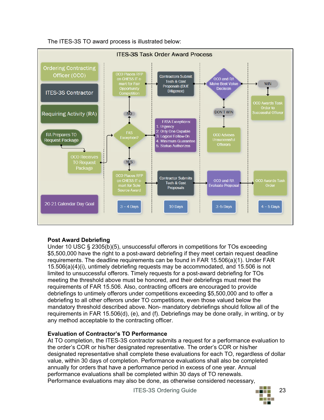The ITES-3S TO award process is illustrated below:



#### **Post Award Debriefing**

Under 10 USC § 2305(b)(5), unsuccessful offerors in competitions for TOs exceeding \$5,500,000 have the right to a post-award debriefing if they meet certain request deadline requirements. The deadline requirements can be found in FAR 15.506(a)(1). Under FAR 15.506(a)(4)(i), untimely debriefing requests may be accommodated, and 15.506 is not limited to unsuccessful offerors. Timely requests for a post-award debriefing for TOs meeting the threshold above must be honored, and their debriefings must meet the requirements of FAR 15.506. Also, contracting officers are encouraged to provide debriefings to untimely offerors under competitions exceeding \$5,500,000 and to offer a debriefing to all other offerors under TO competitions, even those valued below the mandatory threshold described above. Non- mandatory debriefings should follow all of the requirements in FAR 15.506(d), (e), and (f). Debriefings may be done orally, in writing, or by any method acceptable to the contracting officer.

#### **Evaluation of Contractor's TO Performance**

At TO completion, the ITES-3S contractor submits a request for a performance evaluation to the order's COR or his/her designated representative. The order's COR or his/her designated representative shall complete these evaluations for each TO, regardless of dollar value, within 30 days of completion. Performance evaluations shall also be completed annually for orders that have a performance period in excess of one year. Annual performance evaluations shall be completed within 30 days of TO renewals. Performance evaluations may also be done, as otherwise considered necessary,

ITES-3S Ordering Guide 23

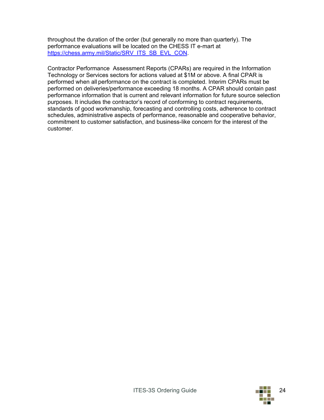throughout the duration of the order (but generally no more than quarterly). The performance evaluations will be located on the CHESS IT e-mart at [https://chess.army.mil/Static/SRV\\_ITS\\_SB\\_EVL\\_CON.](https://chess.army.mil/Static/SRV_ITS_SB_EVL_CON)

Contractor Performance Assessment Reports (CPARs) are required in the Information Technology or Services sectors for actions valued at \$1M or above. A final CPAR is performed when all performance on the contract is completed. Interim CPARs must be performed on deliveries/performance exceeding 18 months. A CPAR should contain past performance information that is current and relevant information for future source selection purposes. It includes the contractor's record of conforming to contract requirements, standards of good workmanship, forecasting and controlling costs, adherence to contract schedules, administrative aspects of performance, reasonable and cooperative behavior, commitment to customer satisfaction, and business-like concern for the interest of the customer.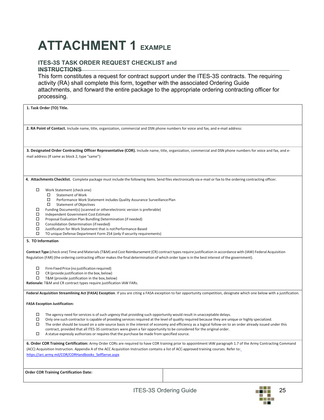# **ATTACHMENT 1 EXAMPLE**

#### **ITES-3S TASK ORDER REQUEST CHECKLIST and INSTRUCTIONS**

This form constitutes a request for contract support under the ITES-3S contracts. The requiring activity (RA) shall complete this form, together with the associated Ordering Guide attachments, and forward the entire package to the appropriate ordering contracting officer for processing.

| 1. Task Order (TO) Title.                                                                                                                                                                                                                                                                                                |  |  |
|--------------------------------------------------------------------------------------------------------------------------------------------------------------------------------------------------------------------------------------------------------------------------------------------------------------------------|--|--|
|                                                                                                                                                                                                                                                                                                                          |  |  |
| 2. RA Point of Contact. Include name, title, organization, commercial and DSN phone numbers for voice and fax, and e-mail address:                                                                                                                                                                                       |  |  |
|                                                                                                                                                                                                                                                                                                                          |  |  |
| 3. Designated Order Contracting Officer Representative (COR). Include name, title, organization, commercial and DSN phone numbers for voice and fax, and e-                                                                                                                                                              |  |  |
| mail address (If same as block 2, type "same"):                                                                                                                                                                                                                                                                          |  |  |
|                                                                                                                                                                                                                                                                                                                          |  |  |
| 4. Attachments Checklist. Complete package must include the following items. Send files electronically via e-mail or fax to the ordering contracting officer.                                                                                                                                                            |  |  |
| □                                                                                                                                                                                                                                                                                                                        |  |  |
| Work Statement (check one)<br>□<br><b>Statement of Work</b>                                                                                                                                                                                                                                                              |  |  |
| □<br>Performance Work Statement includes Quality Assurance Surveillance Plan<br>$\Box$<br><b>Statement of Objectives</b>                                                                                                                                                                                                 |  |  |
| Funding Document(s) (scanned or otherelectronic version is preferable)<br>□                                                                                                                                                                                                                                              |  |  |
| □<br>Independent Government Cost Estimate<br>□<br>Proposal Evaluation Plan Bundling Determination (if needed)                                                                                                                                                                                                            |  |  |
| □<br>Consolidation Determination (if needed)<br>□<br>Justification for Work Statement that is not Performance-Based                                                                                                                                                                                                      |  |  |
| □<br>TO unique Defense Department Form 254 (only if security requirements)                                                                                                                                                                                                                                               |  |  |
| 5. TO Information                                                                                                                                                                                                                                                                                                        |  |  |
| Contract Type (check one) Time and Materials (T&M) and Cost Reimbursement (CR) contract types require justification in accordance with (IAW) Federal Acquisition                                                                                                                                                         |  |  |
| Regulation (FAR) (the ordering contracting officer makes the final determination of which order type is in the best interest of the government).                                                                                                                                                                         |  |  |
| Firm Fixed Price (no justification required)<br>□                                                                                                                                                                                                                                                                        |  |  |
| □<br>CR (provide justification in the box, below)                                                                                                                                                                                                                                                                        |  |  |
| □<br>T&M (provide justification in the box, below)<br>Rationale: T&M and CR contract types require justification IAW FARs.                                                                                                                                                                                               |  |  |
|                                                                                                                                                                                                                                                                                                                          |  |  |
| Federal Acquisition Streamlining Act (FASA) Exception. If you are citing a FASA exception to fair opportunity competition, designate which one below with a justification.                                                                                                                                               |  |  |
| <b>FASA Exception Justification:</b>                                                                                                                                                                                                                                                                                     |  |  |
| The agency need for services is of such urgency that providing such opportunity would result in unacceptable delays.<br>□                                                                                                                                                                                                |  |  |
| □<br>Only one such contractor is capable of providing services required at the level of quality required because they are unique or highly specialized.<br>□<br>The order should be issued on a sole-source basis in the interest of economy and efficiency as a logical follow-on to an order already issued under this |  |  |
| contract, provided that all ITES-3S contractors were given a fair opportunity to be considered for the original order.                                                                                                                                                                                                   |  |  |
| □<br>A statue expressly authorizes or requires that the purchase be made from specified source.                                                                                                                                                                                                                          |  |  |
| 6. Order COR Training Certification: Army Order CORs are required to have COR training prior to appointment IAW paragraph 1.7 of the Army Contracting Command                                                                                                                                                            |  |  |
| (ACC) Acquisition Instruction. Appendix A of the ACC Acquisition Instruction contains a list of ACC-approved training courses. Refer to:<br>https://arc.army.mil/COR/CORHandbooks SelfServe.aspx                                                                                                                         |  |  |
|                                                                                                                                                                                                                                                                                                                          |  |  |
| <b>Order COR Training Certification Date:</b>                                                                                                                                                                                                                                                                            |  |  |
|                                                                                                                                                                                                                                                                                                                          |  |  |
| <b>ELLE</b><br><b>ITES-3S Ordering Guide</b><br>25.                                                                                                                                                                                                                                                                      |  |  |

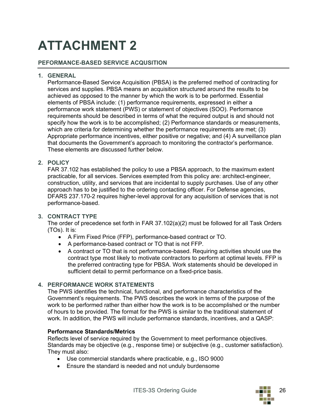# **ATTACHMENT 2**

#### **PEFORMANCE-BASED SERVICE ACQUSITION**

#### **1. GENERAL**

Performance-Based Service Acquisition (PBSA) is the preferred method of contracting for services and supplies. PBSA means an acquisition structured around the results to be achieved as opposed to the manner by which the work is to be performed. Essential elements of PBSA include: (1) performance requirements, expressed in either a performance work statement (PWS) or statement of objectives (SOO). Performance requirements should be described in terms of what the required output is and should not specify how the work is to be accomplished; (2) Performance standards or measurements, which are criteria for determining whether the performance requirements are met; (3) Appropriate performance incentives, either positive or negative; and (4) A surveillance plan that documents the Government's approach to monitoring the contractor's performance. These elements are discussed further below.

#### **2. POLICY**

FAR 37.102 has established the policy to use a PBSA approach, to the maximum extent practicable, for all services. Services exempted from this policy are: architect-engineer, construction, utility, and services that are incidental to supply purchases. Use of any other approach has to be justified to the ordering contacting officer. For Defense agencies, DFARS 237.170-2 requires higher-level approval for any acquisition of services that is not performance-based.

#### **3. CONTRACT TYPE**

The order of precedence set forth in FAR 37.102(a)(2) must be followed for all Task Orders (TOs). It is:

- A Firm Fixed Price (FFP), performance-based contract or TO.
- A performance-based contract or TO that is not FFP.
- A contract or TO that is not performance-based. Requiring activities should use the contract type most likely to motivate contractors to perform at optimal levels. FFP is the preferred contracting type for PBSA. Work statements should be developed in sufficient detail to permit performance on a fixed-price basis.

#### **4. PERFORMANCE WORK STATEMENTS**

The PWS identifies the technical, functional, and performance characteristics of the Government's requirements. The PWS describes the work in terms of the purpose of the work to be performed rather than either how the work is to be accomplished or the number of hours to be provided. The format for the PWS is similar to the traditional statement of work. In addition, the PWS will include performance standards, incentives, and a QASP:

#### **Performance Standards/Metrics**

Reflects level of service required by the Government to meet performance objectives. Standards may be objective (e.g., response time) or subjective (e.g., customer satisfaction). They must also:

- Use commercial standards where practicable, e.g., ISO 9000
- Ensure the standard is needed and not unduly burdensome

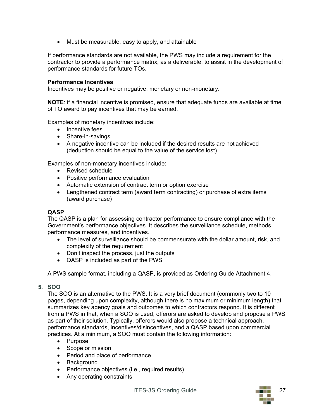• Must be measurable, easy to apply, and attainable

If performance standards are not available, the PWS may include a requirement for the contractor to provide a performance matrix, as a deliverable, to assist in the development of performance standards for future TOs.

#### **Performance Incentives**

Incentives may be positive or negative, monetary or non-monetary.

**NOTE**: if a financial incentive is promised, ensure that adequate funds are available at time of TO award to pay incentives that may be earned.

Examples of monetary incentives include:

- Incentive fees
- Share-in-savings
- A negative incentive can be included if the desired results are not achieved (deduction should be equal to the value of the service lost).

Examples of non-monetary incentives include:

- Revised schedule
- Positive performance evaluation
- Automatic extension of contract term or option exercise
- Lengthened contract term (award term contracting) or purchase of extra items (award purchase)

#### **QASP**

The QASP is a plan for assessing contractor performance to ensure compliance with the Government's performance objectives. It describes the surveillance schedule, methods, performance measures, and incentives.

- The level of surveillance should be commensurate with the dollar amount, risk, and complexity of the requirement
- Don't inspect the process, just the outputs
- QASP is included as part of the PWS

A PWS sample format, including a QASP, is provided as Ordering Guide Attachment 4.

#### **5. SOO**

The SOO is an alternative to the PWS. It is a very brief document (commonly two to 10 pages, depending upon complexity, although there is no maximum or minimum length) that summarizes key agency goals and outcomes to which contractors respond. It is different from a PWS in that, when a SOO is used, offerors are asked to develop and propose a PWS as part of their solution. Typically, offerors would also propose a technical approach, performance standards, incentives/disincentives, and a QASP based upon commercial practices. At a minimum, a SOO must contain the following information:

- Purpose
- Scope or mission
- Period and place of performance
- Background
- Performance objectives (i.e., required results)
- Any operating constraints

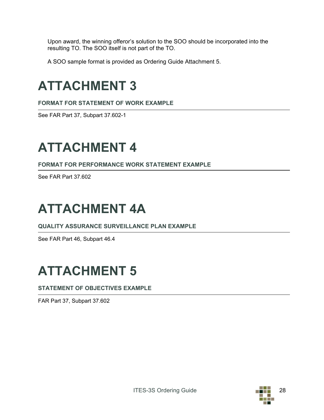Upon award, the winning offeror's solution to the SOO should be incorporated into the resulting TO. The SOO itself is not part of the TO.

A SOO sample format is provided as Ordering Guide Attachment 5.

# **ATTACHMENT 3**

**FORMAT FOR STATEMENT OF WORK EXAMPLE**

See FAR Part 37, Subpart 37.602-1

# **ATTACHMENT 4**

**FORMAT FOR PERFORMANCE WORK STATEMENT EXAMPLE**

See FAR Part 37.602

# **ATTACHMENT 4A**

**QUALITY ASSURANCE SURVEILLANCE PLAN EXAMPLE**

See FAR Part 46, Subpart 46.4

# **ATTACHMENT 5**

**STATEMENT OF OBJECTIVES EXAMPLE**

FAR Part 37, Subpart 37.602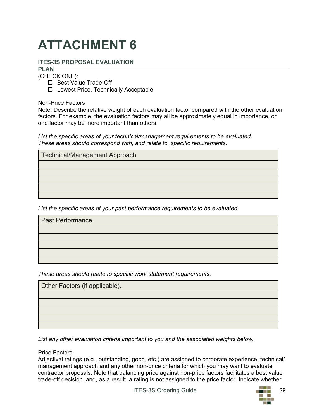# **ATTACHMENT 6**

### **ITES-3S PROPOSAL EVALUATION**

**PLAN** (CHECK ONE):

- □ Best Value Trade-Off
- □ Lowest Price, Technically Acceptable

Non-Price Factors

Note: Describe the relative weight of each evaluation factor compared with the other evaluation factors. For example, the evaluation factors may all be approximately equal in importance, or one factor may be more important than others.

*List the specific areas of your technical/management requirements to be evaluated. These areas should correspond with, and relate to, specific requirements.*

| Technical/Management Approach |  |
|-------------------------------|--|
|                               |  |
|                               |  |
|                               |  |
|                               |  |
|                               |  |

*List the specific areas of your past performance requirements to be evaluated.*

| <b>Past Performance</b> |  |
|-------------------------|--|
|                         |  |
|                         |  |
|                         |  |
|                         |  |
|                         |  |

*These areas should relate to specific work statement requirements.*

| Other Factors (if applicable). |
|--------------------------------|
|                                |
|                                |
|                                |
|                                |
|                                |

*List any other evaluation criteria important to you and the associated weights below.*

#### Price Factors

Adjectival ratings (e.g., outstanding, good, etc.) are assigned to corporate experience, technical/ management approach and any other non-price criteria for which you may want to evaluate contractor proposals. Note that balancing price against non-price factors facilitates a best value trade-off decision, and, as a result, a rating is not assigned to the price factor. Indicate whether

ITES-3S Ordering Guide 29

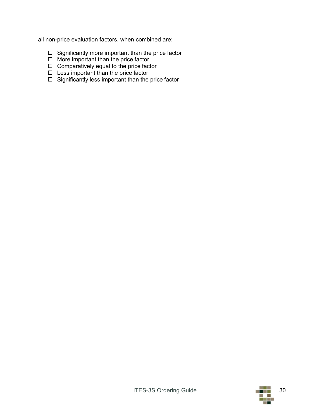all non-price evaluation factors, when combined are:

- $\square$  Significantly more important than the price factor
- $\Box$  More important than the price factor
- $\square$  Comparatively equal to the price factor
- $\square$  Less important than the price factor
- $\Box$  Significantly less important than the price factor

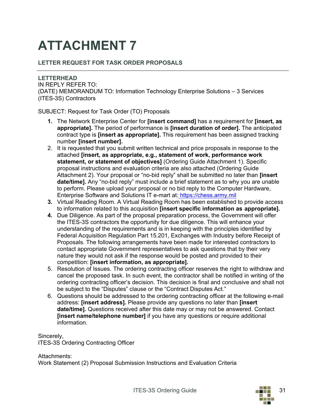# **ATTACHMENT 7**

### **LETTER REQUEST FOR TASK ORDER PROPOSALS**

**LETTERHEAD** IN REPLY REFER TO: (DATE) MEMORANDUM TO: Information Technology Enterprise Solutions – 3 Services (ITES-3S) Contractors

SUBJECT: Request for Task Order (TO) Proposals

- **1.** The Network Enterprise Center for **[insert command]** has a requirement for **[insert, as appropriate].** The period of performance is **[insert duration of order].** The anticipated contract type is **[insert as appropriate].** This requirement has been assigned tracking number **[insert number].**
- 2. It is requested that you submit written technical and price proposals in response to the attached **[insert, as appropriate, e.g., statement of work, performance work statement, or statement of objectives]** (Ordering Guide Attachment 1). Specific proposal instructions and evaluation criteria are also attached (Ordering Guide Attachment 2). Your proposal or "no-bid reply" shall be submitted no later than **[insert date/time].** Any "no-bid reply" must include a brief statement as to why you are unable to perform. Please upload your proposal or no bid reply to the Computer Hardware, Enterprise Software and Solutions IT e-mart at: [https://chess.army.mil](https://chess.army.mil/)
- **3.** Virtual Reading Room. A Virtual Reading Room has been established to provide access to information related to this acquisition **[insert specific information as appropriate].**
- **4.** Due Diligence. As part of the proposal preparation process, the Government will offer the ITES-3S contractors the opportunity for due diligence. This will enhance your understanding of the requirements and is in keeping with the principles identified by Federal Acquisition Regulation Part 15.201, Exchanges with Industry before Receipt of Proposals. The following arrangements have been made for interested contractors to contact appropriate Government representatives to ask questions that by their very nature they would not ask if the response would be posted and provided to their competition: **[insert information, as appropriate].**
- 5. Resolution of Issues. The ordering contracting officer reserves the right to withdraw and cancel the proposed task. In such event, the contractor shall be notified in writing of the ordering contracting officer's decision. This decision is final and conclusive and shall not be subject to the "Disputes" clause or the "Contract Disputes Act."
- 6. Questions should be addressed to the ordering contracting officer at the following e-mail address: **[insert address].** Please provide any questions no later than **[insert date/time].** Questions received after this date may or may not be answered. Contact **[insert name/telephone number]** if you have any questions or require additional information.

Sincerely, ITES-3S Ordering Contracting Officer

Attachments: Work Statement (2) Proposal Submission Instructions and Evaluation Criteria

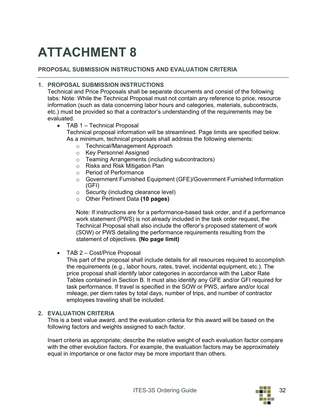# **ATTACHMENT 8**

#### **PROPOSAL SUBMISSION INSTRUCTIONS AND EVALUATION CRITERIA**

#### **1. PROPOSAL SUBMISSION INSTRUCTIONS**

Technical and Price Proposals shall be separate documents and consist of the following tabs: Note: While the Technical Proposal must not contain any reference to price, resource information (such as data concerning labor hours and categories, materials, subcontracts, etc.) must be provided so that a contractor's understanding of the requirements may be evaluated.

- TAB 1 Technical Proposal Technical proposal information will be streamlined. Page limits are specified below. As a minimum, technical proposals shall address the following elements:
	- o Technical/Management Approach
	- o Key Personnel Assigned
	- o Teaming Arrangements (including subcontractors)
	- o Risks and Risk Mitigation Plan
	- o Period of Performance
	- o Government Furnished Equipment (GFE)/Government Furnished Information (GFI)
	- o Security (including clearance level)
	- o Other Pertinent Data **(10 pages)**

Note: If instructions are for a performance-based task order, and if a performance work statement (PWS) is not already included in the task order request, the Technical Proposal shall also include the offeror's proposed statement of work (SOW) or PWS detailing the performance requirements resulting from the statement of objectives. **(No page limit)**

• TAB 2 – Cost/Price Proposal

This part of the proposal shall include details for all resources required to accomplish the requirements (e.g., labor hours, rates, travel, incidental equipment, etc.). The price proposal shall identify labor categories in accordance with the Labor Rate Tables contained in Section B. It must also identify any GFE and/or GFI required for task performance. If travel is specified in the SOW or PWS, airfare and/or local mileage, per diem rates by total days, number of trips, and number of contractor employees traveling shall be included.

#### **2. EVALUATION CRITERIA**

This is a best value award, and the evaluation criteria for this award will be based on the following factors and weights assigned to each factor.

Insert criteria as appropriate; describe the relative weight of each evaluation factor compare with the other evolution factors. For example, the evaluation factors may be approximately equal in importance or one factor may be more important than others.

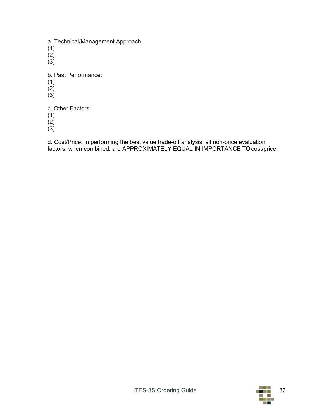a. Technical/Management Approach:

- (1)
- $\lambda$ <sup>2</sup>
- $(3)$

b. Past Performance:

- (1)
- $\lambda$ <sup>2</sup>
- $(3)$

c. Other Factors:

- (1)
- (2)

(3)

d. Cost/Price: In performing the best value trade-off analysis, all non-price evaluation factors, when combined, are APPROXIMATELY EQUAL IN IMPORTANCE TO cost/price.

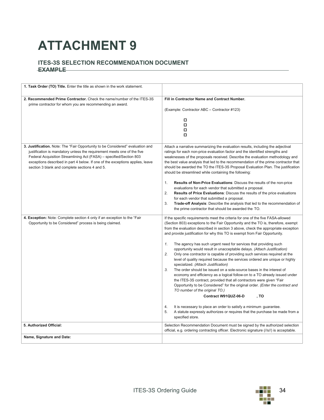# **ATTACHMENT 9**

#### **ITES-3S SELECTION RECOMMENDATION DOCUMENT EXAMPLE**

| 1. Task Order (TO) Title. Enter the title as shown in the work statement.                                                           |                                                                                                                                                                          |
|-------------------------------------------------------------------------------------------------------------------------------------|--------------------------------------------------------------------------------------------------------------------------------------------------------------------------|
| 2. Recommended Prime Contractor. Check the name/number of the ITES-3S                                                               | Fill in Contractor Name and Contract Number.                                                                                                                             |
| prime contractor for whom you are recommending an award.                                                                            | (Example: Contractor ABC - Contractor #123)                                                                                                                              |
|                                                                                                                                     | □                                                                                                                                                                        |
|                                                                                                                                     | α<br>α                                                                                                                                                                   |
|                                                                                                                                     | о                                                                                                                                                                        |
| 3. Justification. Note: The "Fair Opportunity to be Considered" evaluation and                                                      | Attach a narrative summarizing the evaluation results, including the adjectival                                                                                          |
| justification is mandatory unless the requirement meets one of the five                                                             | ratings for each non-price evaluation factor and the identified strengths and                                                                                            |
| Federal Acquisition Streamlining Act (FASA) - specified/Section 803                                                                 | weaknesses of the proposals received. Describe the evaluation methodology and                                                                                            |
| exceptions described in part 4 below. If one of the exceptions applies, leave<br>section 3 blank and complete sections 4 and 5.     | the best value analysis that led to the recommendation of the prime contractor that<br>should be awarded the TO the ITES-3S Proposal Evaluation Plan. The justification  |
|                                                                                                                                     | should be streamlined while containing the following:                                                                                                                    |
|                                                                                                                                     | Results of Non-Price Evaluations: Discuss the results of the non-price<br>1.                                                                                             |
|                                                                                                                                     | evaluations for each vendor that submitted a proposal.<br>2.                                                                                                             |
|                                                                                                                                     | <b>Results of Price Evaluations:</b> Discuss the results of the price evaluations<br>for each vendor that submitted a proposal.                                          |
|                                                                                                                                     | 3.<br>Trade-off Analysis: Describe the analysis that led to the recommendation of                                                                                        |
|                                                                                                                                     | the prime contractor that should be awarded the TO.                                                                                                                      |
| 4. Exception: Note: Complete section 4 only if an exception to the "Fair<br>Opportunity to be Considered" process is being claimed. | If the specific requirements meet the criteria for one of the five FASA-allowed<br>(Section 803) exceptions to the Fair Opportunity and the TO is, therefore, exempt     |
|                                                                                                                                     | from the evaluation described in section 3 above, check the appropriate exception                                                                                        |
|                                                                                                                                     | and provide justification for why this TO is exempt from Fair Opportunity.                                                                                               |
|                                                                                                                                     | 1.<br>The agency has such urgent need for services that providing such                                                                                                   |
|                                                                                                                                     | opportunity would result in unacceptable delays. (Attach Justification)<br>2.                                                                                            |
|                                                                                                                                     | Only one contractor is capable of providing such services required at the<br>level of quality required because the services ordered are unique or highly                 |
|                                                                                                                                     | specialized. (Attach Justification)                                                                                                                                      |
|                                                                                                                                     | 3.<br>The order should be issued on a sole-source bases in the interest of<br>economy and efficiency as a logical follow-on to a TO already issued under                 |
|                                                                                                                                     | the ITES-3S contract, provided that all contractors were given "Fair                                                                                                     |
|                                                                                                                                     | Opportunity to be Considered" for the original order. (Enter the contract and<br>TO number of the original TO.)                                                          |
|                                                                                                                                     | Contract W91QUZ-06-D<br>. TO                                                                                                                                             |
|                                                                                                                                     | 4.<br>It is necessary to place an order to satisfy a minimum guarantee.                                                                                                  |
|                                                                                                                                     | 5.<br>A statute expressly authorizes or requires that the purchase be made from a                                                                                        |
|                                                                                                                                     | specified store.                                                                                                                                                         |
| 5. Authorized Official:                                                                                                             | Selection Recommendation Document must be signed by the authorized selection<br>official, e.g. ordering contracting officer. Electronic signature (//s//) is acceptable. |
| Name, Signature and Date:                                                                                                           |                                                                                                                                                                          |
|                                                                                                                                     |                                                                                                                                                                          |

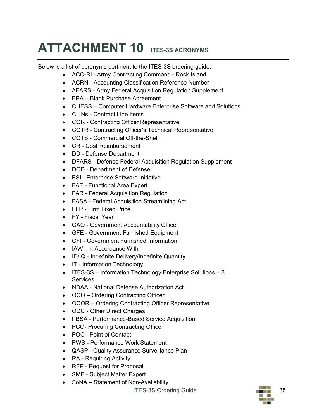# **ATTACHMENT 10 ITES-3S ACRONYMS**

Below is a list of acronyms pertinent to the ITES-3S ordering guide:

- ACC-RI Army Contracting Command Rock Island
- ACRN Accounting Classification Reference Number
- AFARS Army Federal Acquisition Regulation Supplement
- BPA Blank Purchase Agreement
- CHESS Computer Hardware Enterprise Software and Solutions
- CLINs Contract Line Items
- COR Contracting Officer Representative
- COTR Contracting Officer's Technical Representative
- COTS Commercial Off-the-Shelf
- CR Cost Reimbursement
- DD Defense Department
- DFARS Defense Federal Acquisition Regulation Supplement
- DOD Department of Defense
- ESI Enterprise Software Initiative
- FAE Functional Area Expert
- FAR Federal Acquisition Regulation
- FASA Federal Acquisition Streamlining Act
- FFP Firm Fixed Price
- FY Fiscal Year
- GAO Government Accountability Office
- GFE Government Furnished Equipment
- GFI Government Furnished Information
- IAW In Accordance With
- ID/IQ Indefinite Delivery/Indefinite Quantity
- IT Information Technology
- ITES-3S Information Technology Enterprise Solutions 3 **Services**
- NDAA National Defense Authorization Act
- OCO Ordering Contracting Officer
- OCOR Ordering Contracting Officer Representative
- ODC Other Direct Charges
- PBSA Performance-Based Service Acquisition
- PCO- Procuring Contracting Office
- POC Point of Contact
- PWS Performance Work Statement
- QASP Quality Assurance Surveillance Plan
- RA Requiring Activity
- RFP Request for Proposal
- SME Subject Matter Expert
- SoNA Statement of Non-Availability

ITES-3S Ordering Guide 35